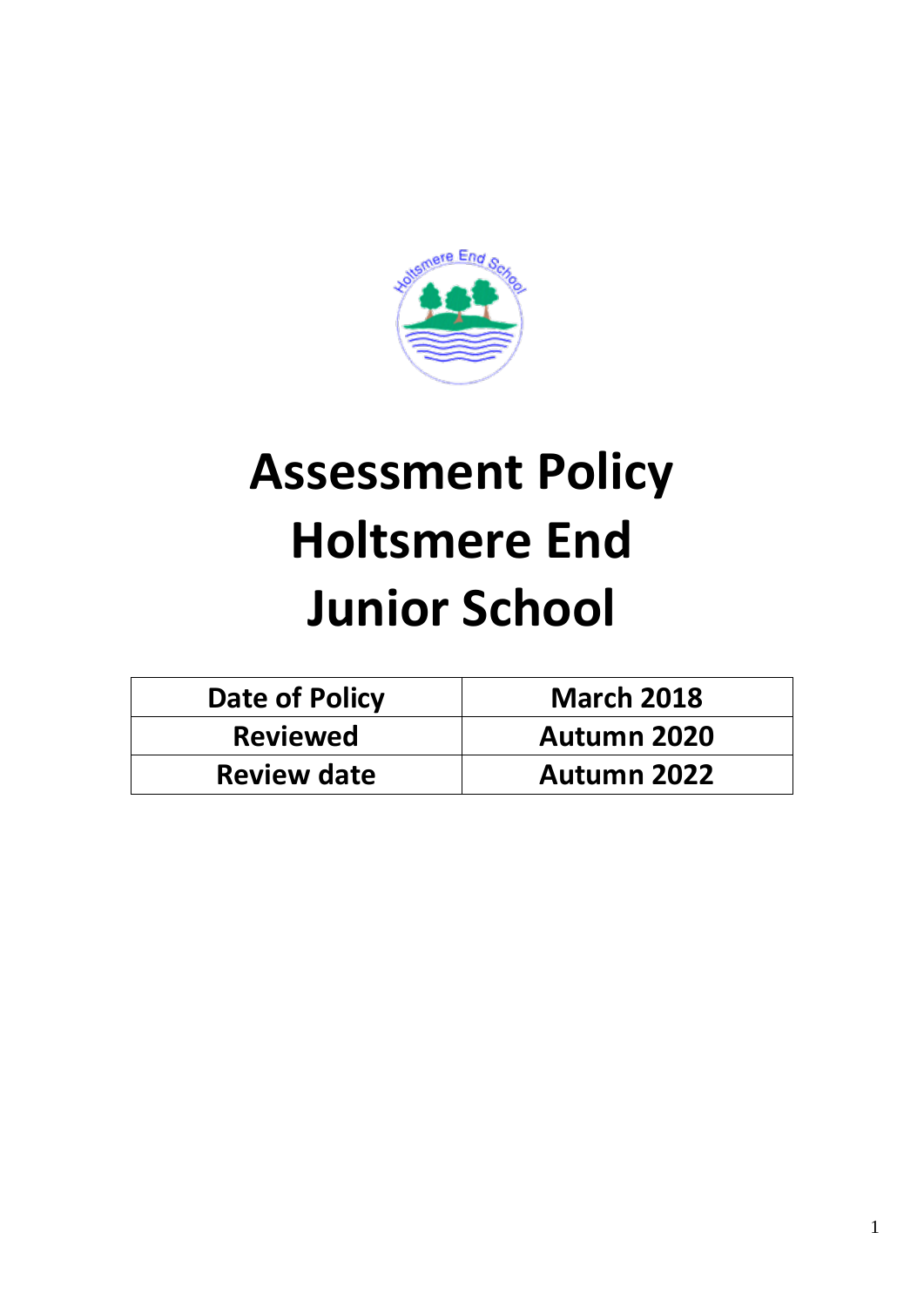

# **Assessment Policy Holtsmere End Junior School**

| <b>Date of Policy</b> | <b>March 2018</b>  |
|-----------------------|--------------------|
| <b>Reviewed</b>       | <b>Autumn 2020</b> |
| <b>Review date</b>    | <b>Autumn 2022</b> |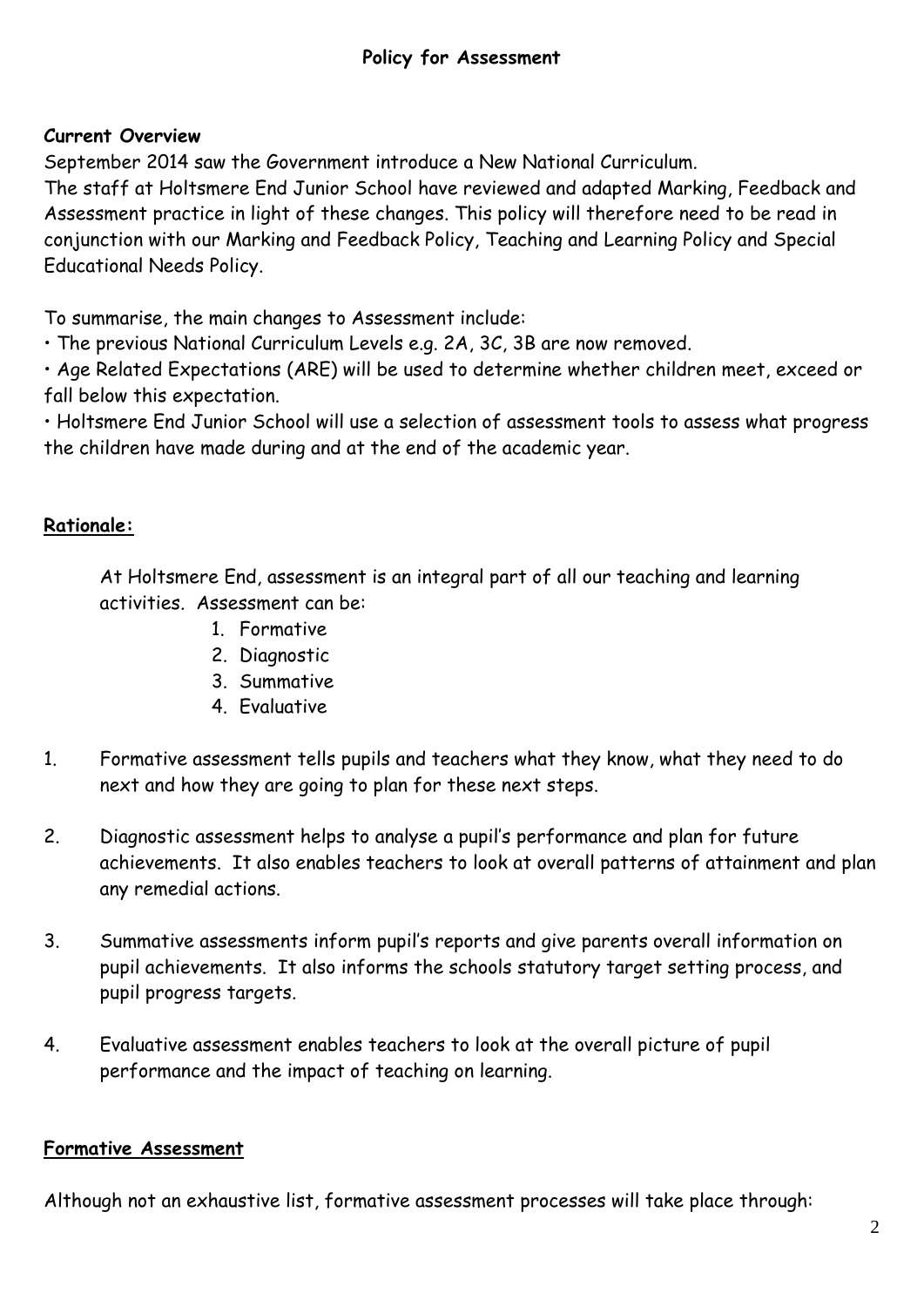#### **Current Overview**

September 2014 saw the Government introduce a New National Curriculum.

The staff at Holtsmere End Junior School have reviewed and adapted Marking, Feedback and Assessment practice in light of these changes. This policy will therefore need to be read in conjunction with our Marking and Feedback Policy, Teaching and Learning Policy and Special Educational Needs Policy.

To summarise, the main changes to Assessment include:

• The previous National Curriculum Levels e.g. 2A, 3C, 3B are now removed.

• Age Related Expectations (ARE) will be used to determine whether children meet, exceed or fall below this expectation.

• Holtsmere End Junior School will use a selection of assessment tools to assess what progress the children have made during and at the end of the academic year.

## **Rationale:**

At Holtsmere End, assessment is an integral part of all our teaching and learning activities. Assessment can be:

- 1. Formative
- 2. Diagnostic
- 3. Summative
- 4. Evaluative
- 1. Formative assessment tells pupils and teachers what they know, what they need to do next and how they are going to plan for these next steps.
- 2. Diagnostic assessment helps to analyse a pupil's performance and plan for future achievements. It also enables teachers to look at overall patterns of attainment and plan any remedial actions.
- 3. Summative assessments inform pupil's reports and give parents overall information on pupil achievements. It also informs the schools statutory target setting process, and pupil progress targets.
- 4. Evaluative assessment enables teachers to look at the overall picture of pupil performance and the impact of teaching on learning.

## **Formative Assessment**

Although not an exhaustive list, formative assessment processes will take place through: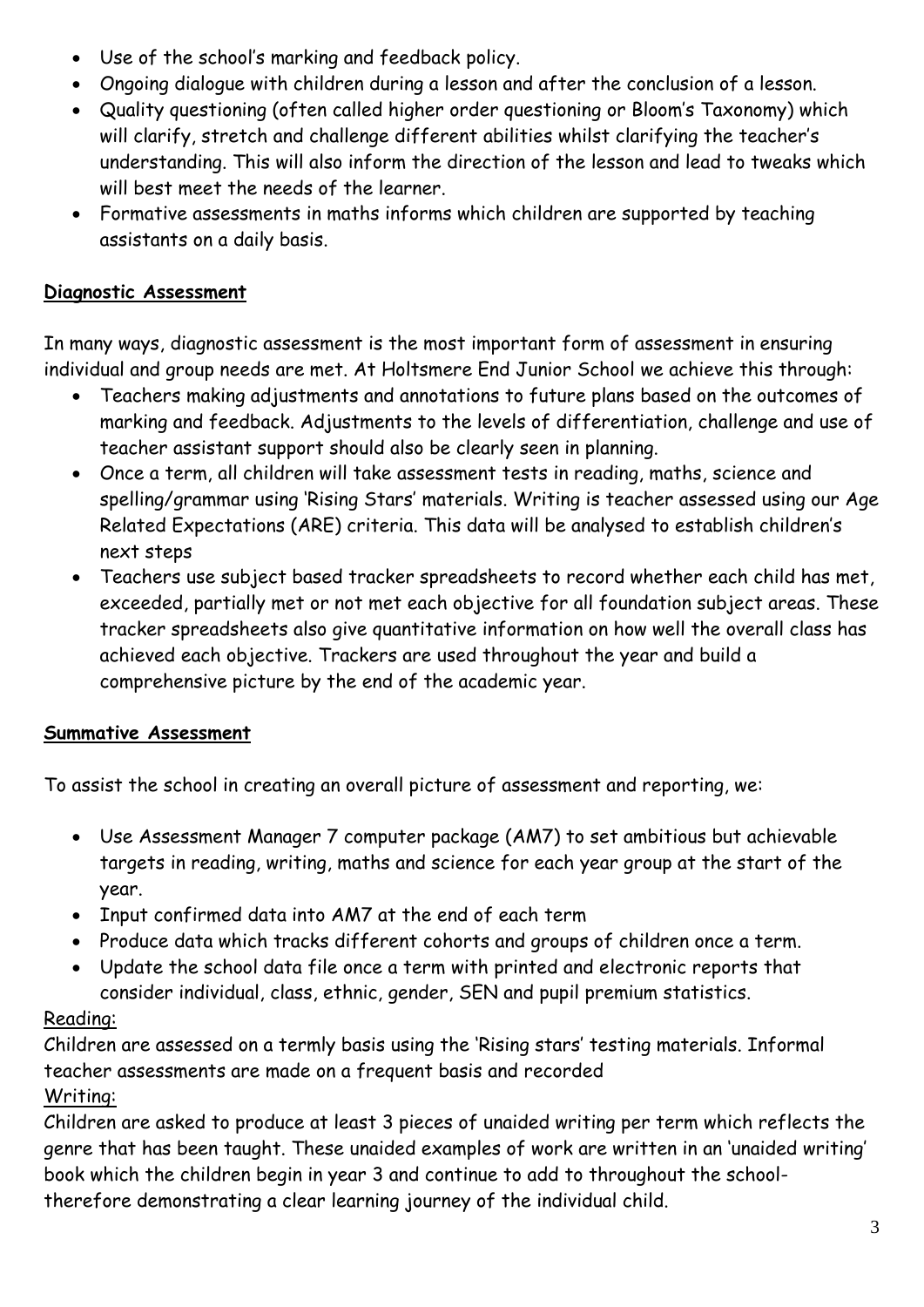- Use of the school's marking and feedback policy.
- Ongoing dialogue with children during a lesson and after the conclusion of a lesson.
- Quality questioning (often called higher order questioning or Bloom's Taxonomy) which will clarify, stretch and challenge different abilities whilst clarifying the teacher's understanding. This will also inform the direction of the lesson and lead to tweaks which will best meet the needs of the learner.
- Formative assessments in maths informs which children are supported by teaching assistants on a daily basis.

#### **Diagnostic Assessment**

In many ways, diagnostic assessment is the most important form of assessment in ensuring individual and group needs are met. At Holtsmere End Junior School we achieve this through:

- Teachers making adjustments and annotations to future plans based on the outcomes of marking and feedback. Adjustments to the levels of differentiation, challenge and use of teacher assistant support should also be clearly seen in planning.
- Once a term, all children will take assessment tests in reading, maths, science and spelling/grammar using 'Rising Stars' materials. Writing is teacher assessed using our Age Related Expectations (ARE) criteria. This data will be analysed to establish children's next steps
- Teachers use subject based tracker spreadsheets to record whether each child has met, exceeded, partially met or not met each objective for all foundation subject areas. These tracker spreadsheets also give quantitative information on how well the overall class has achieved each objective. Trackers are used throughout the year and build a comprehensive picture by the end of the academic year.

## **Summative Assessment**

To assist the school in creating an overall picture of assessment and reporting, we:

- Use Assessment Manager 7 computer package (AM7) to set ambitious but achievable targets in reading, writing, maths and science for each year group at the start of the year.
- Input confirmed data into AM7 at the end of each term
- Produce data which tracks different cohorts and groups of children once a term.
- Update the school data file once a term with printed and electronic reports that consider individual, class, ethnic, gender, SEN and pupil premium statistics.

## Reading:

Children are assessed on a termly basis using the 'Rising stars' testing materials. Informal teacher assessments are made on a frequent basis and recorded

## Writing:

Children are asked to produce at least 3 pieces of unaided writing per term which reflects the genre that has been taught. These unaided examples of work are written in an 'unaided writing' book which the children begin in year 3 and continue to add to throughout the schooltherefore demonstrating a clear learning journey of the individual child.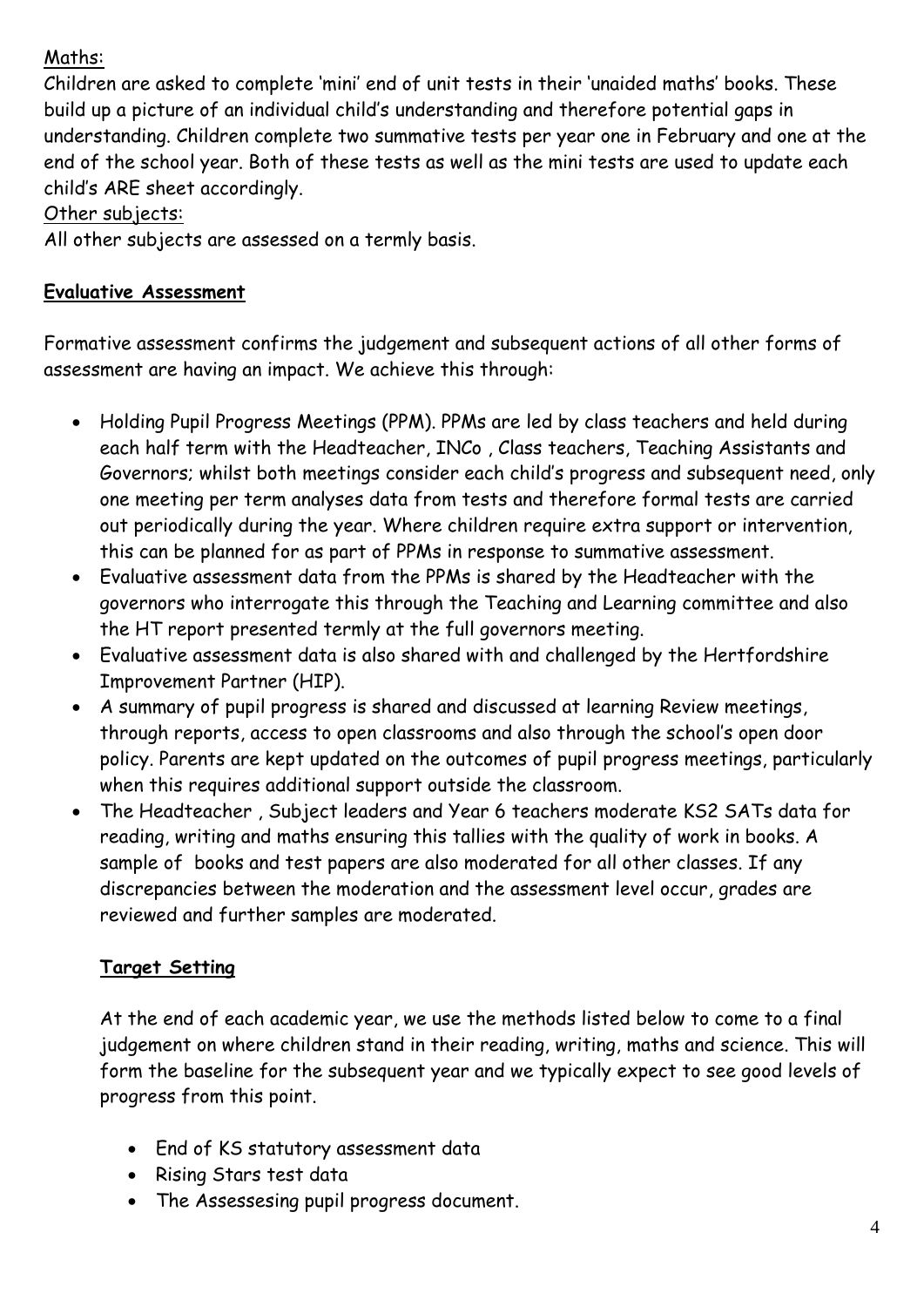## Maths:

Children are asked to complete 'mini' end of unit tests in their 'unaided maths' books. These build up a picture of an individual child's understanding and therefore potential gaps in understanding. Children complete two summative tests per year one in February and one at the end of the school year. Both of these tests as well as the mini tests are used to update each child's ARE sheet accordingly.

#### Other subjects:

All other subjects are assessed on a termly basis.

#### **Evaluative Assessment**

Formative assessment confirms the judgement and subsequent actions of all other forms of assessment are having an impact. We achieve this through:

- Holding Pupil Progress Meetings (PPM). PPMs are led by class teachers and held during each half term with the Headteacher, INCo , Class teachers, Teaching Assistants and Governors; whilst both meetings consider each child's progress and subsequent need, only one meeting per term analyses data from tests and therefore formal tests are carried out periodically during the year. Where children require extra support or intervention, this can be planned for as part of PPMs in response to summative assessment.
- Evaluative assessment data from the PPMs is shared by the Headteacher with the governors who interrogate this through the Teaching and Learning committee and also the HT report presented termly at the full governors meeting.
- Evaluative assessment data is also shared with and challenged by the Hertfordshire Improvement Partner (HIP).
- A summary of pupil progress is shared and discussed at learning Review meetings, through reports, access to open classrooms and also through the school's open door policy. Parents are kept updated on the outcomes of pupil progress meetings, particularly when this requires additional support outside the classroom.
- The Headteacher , Subject leaders and Year 6 teachers moderate KS2 SATs data for reading, writing and maths ensuring this tallies with the quality of work in books. A sample of books and test papers are also moderated for all other classes. If any discrepancies between the moderation and the assessment level occur, grades are reviewed and further samples are moderated.

# **Target Setting**

At the end of each academic year, we use the methods listed below to come to a final judgement on where children stand in their reading, writing, maths and science. This will form the baseline for the subsequent year and we typically expect to see good levels of progress from this point.

- End of KS statutory assessment data
- Rising Stars test data
- The Assessesing pupil progress document.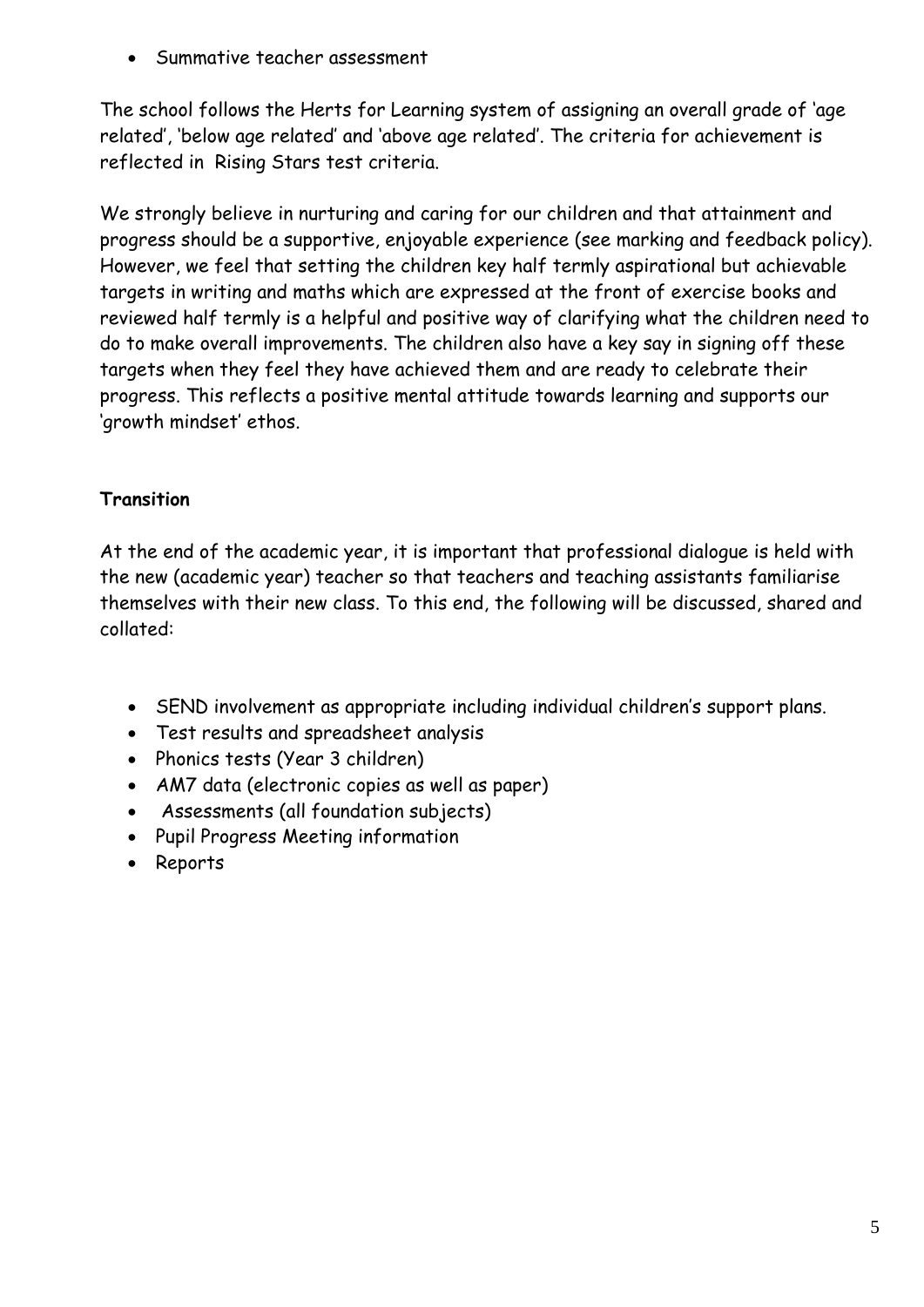• Summative teacher assessment

The school follows the Herts for Learning system of assigning an overall grade of 'age related', 'below age related' and 'above age related'. The criteria for achievement is reflected in Rising Stars test criteria.

We strongly believe in nurturing and caring for our children and that attainment and progress should be a supportive, enjoyable experience (see marking and feedback policy). However, we feel that setting the children key half termly aspirational but achievable targets in writing and maths which are expressed at the front of exercise books and reviewed half termly is a helpful and positive way of clarifying what the children need to do to make overall improvements. The children also have a key say in signing off these targets when they feel they have achieved them and are ready to celebrate their progress. This reflects a positive mental attitude towards learning and supports our 'growth mindset' ethos.

## **Transition**

At the end of the academic year, it is important that professional dialogue is held with the new (academic year) teacher so that teachers and teaching assistants familiarise themselves with their new class. To this end, the following will be discussed, shared and collated:

- SEND involvement as appropriate including individual children's support plans.
- Test results and spreadsheet analysis
- Phonics tests (Year 3 children)
- AM7 data (electronic copies as well as paper)
- Assessments (all foundation subjects)
- Pupil Progress Meeting information
- Reports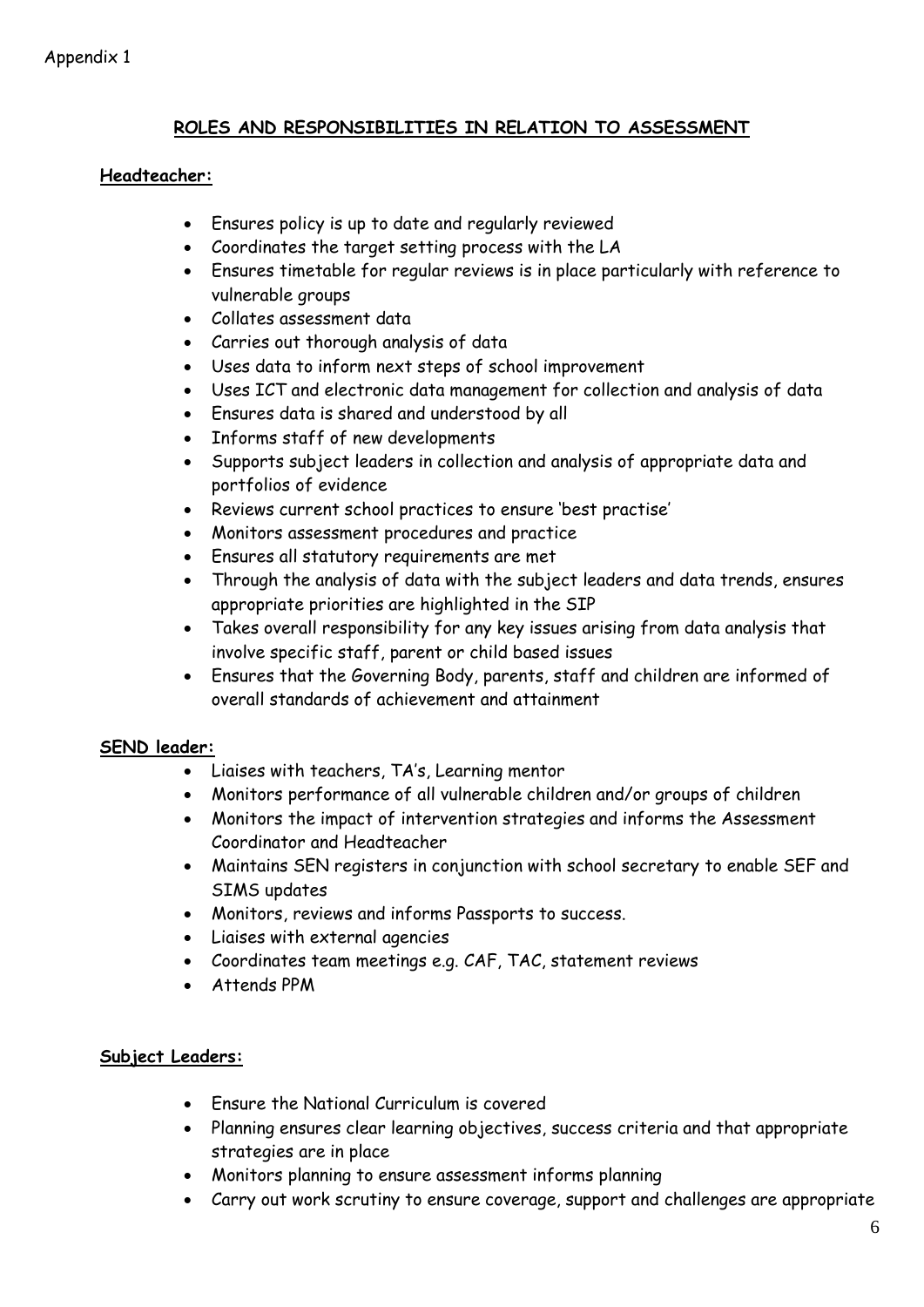#### **ROLES AND RESPONSIBILITIES IN RELATION TO ASSESSMENT**

#### **Headteacher:**

- Ensures policy is up to date and regularly reviewed
- Coordinates the target setting process with the LA
- Ensures timetable for regular reviews is in place particularly with reference to vulnerable groups
- Collates assessment data
- Carries out thorough analysis of data
- Uses data to inform next steps of school improvement
- Uses ICT and electronic data management for collection and analysis of data
- Ensures data is shared and understood by all
- Informs staff of new developments
- Supports subject leaders in collection and analysis of appropriate data and portfolios of evidence
- Reviews current school practices to ensure 'best practise'
- Monitors assessment procedures and practice
- Ensures all statutory requirements are met
- Through the analysis of data with the subject leaders and data trends, ensures appropriate priorities are highlighted in the SIP
- Takes overall responsibility for any key issues arising from data analysis that involve specific staff, parent or child based issues
- Ensures that the Governing Body, parents, staff and children are informed of overall standards of achievement and attainment

#### **SEND leader:**

- Liaises with teachers, TA's, Learning mentor
- Monitors performance of all vulnerable children and/or groups of children
- Monitors the impact of intervention strategies and informs the Assessment Coordinator and Headteacher
- Maintains SEN registers in conjunction with school secretary to enable SEF and SIMS updates
- Monitors, reviews and informs Passports to success.
- Liaises with external agencies
- Coordinates team meetings e.g. CAF, TAC, statement reviews
- Attends PPM

#### **Subject Leaders:**

- Ensure the National Curriculum is covered
- Planning ensures clear learning objectives, success criteria and that appropriate strategies are in place
- Monitors planning to ensure assessment informs planning
- Carry out work scrutiny to ensure coverage, support and challenges are appropriate